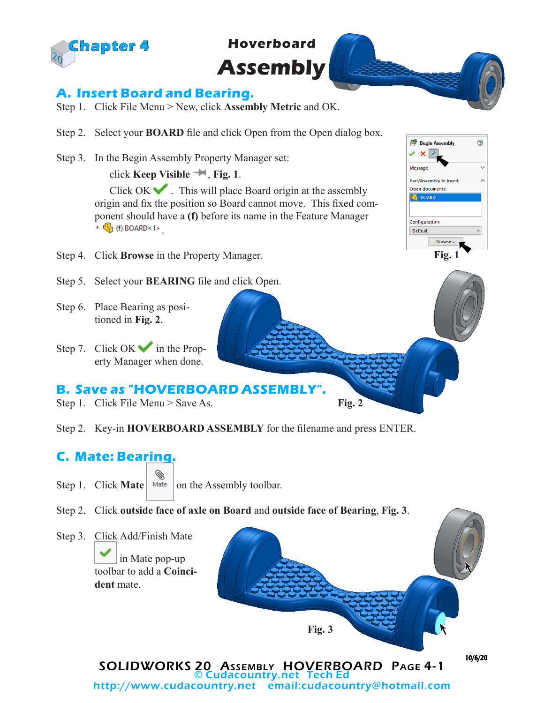

**Hoverboard Assembly** 

## **A. Insert Board and Bearing.**

- Step 1. Click File Menu > New, click **Assembly Metric** and OK.
- Step 2. Select your **BOARD** file and click Open from the Open dialog box.
- Step 3. In the Begin Assembly Property Manager set:

click **Keep Visible** , **Fig. 1**.

Click  $OK \rightarrow$ . This will place Board origin at the assembly origin and fix the position so Board cannot move. This fixed component should have a **(f)** before its name in the Feature Manager  $\triangleright$  (c) BOARD<1>

- Step 4. Click **Browse** in the Property Manager.
- Step 5. Select your **BEARING** file and click Open.
- Step 6. Place Bearing as positioned in **Fig. 2**.
- Step 7. Click OK in the Property Manager when done.

## **B. Save as "HOVERBOARD ASSEMBLY".**

- Step 1. Click File Menu > Save As.
- Step 2. Key-in **HOVERBOARD ASSEMBLY** for the filename and press ENTER.

## **C. Mate: Bearing.**

- ◈ Step 1. Click **Mate** Mate on the Assembly toolbar.
- Step 2. Click **outside face of axle on Board** and **outside face of Bearing**, **Fig. 3**.



http://www.cudacountry.net email:cudacountry@hotmail.com

**Fig. 2**

 $^{\circ}$ **Begin Assembly**  $\boldsymbol{\mathsf{x}}$ Messa Part/Assembly to Inser Open documents: **C** BOARI Configuration: Default **Browse Fig. 1**